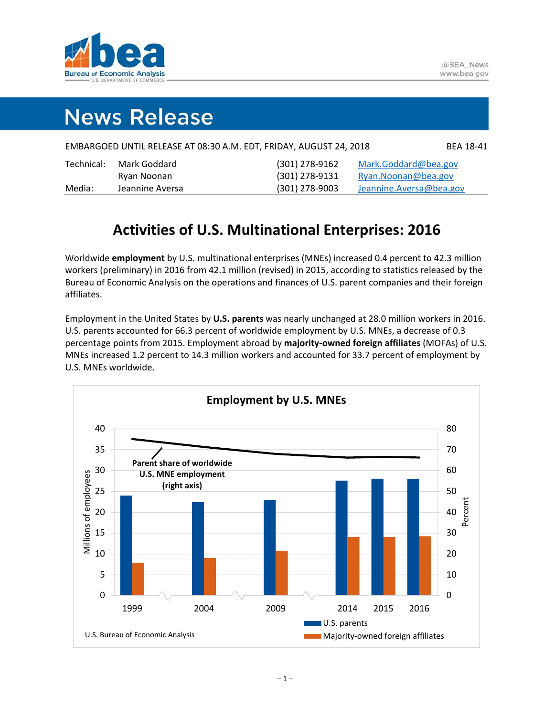

# **News Release**

| EMBARGOED UNTIL RELEASE AT 08:30 A.M. EDT, FRIDAY, AUGUST 24, 2018 | <b>BEA 18-41</b> |
|--------------------------------------------------------------------|------------------|
|--------------------------------------------------------------------|------------------|

| Technical: | Mark Goddard    | (301) 278-9162   | Mark.Goddard@bea.gov     |
|------------|-----------------|------------------|--------------------------|
|            | Ryan Noonan     | (301) 278-9131   | Ryan. Noonan@bea.gov     |
| Media:     | Jeannine Aversa | $(301)$ 278-9003 | Jeannine. Aversa@bea.gov |

### **Activities of U.S. Multinational Enterprises: 2016**

Worldwide **employment** by U.S. multinational enterprises (MNEs) increased 0.4 percent to 42.3 million workers (preliminary) in 2016 from 42.1 million (revised) in 2015, according to statistics released by the Bureau of Economic Analysis on the operations and finances of U.S. parent companies and their foreign affiliates.

Employment in the United States by **U.S. parents** was nearly unchanged at 28.0 million workers in 2016. U.S. parents accounted for 66.3 percent of worldwide employment by U.S. MNEs, a decrease of 0.3 percentage points from 2015. Employment abroad by **majority‐owned foreign affiliates** (MOFAs) of U.S. MNEs increased 1.2 percent to 14.3 million workers and accounted for 33.7 percent of employment by U.S. MNEs worldwide.

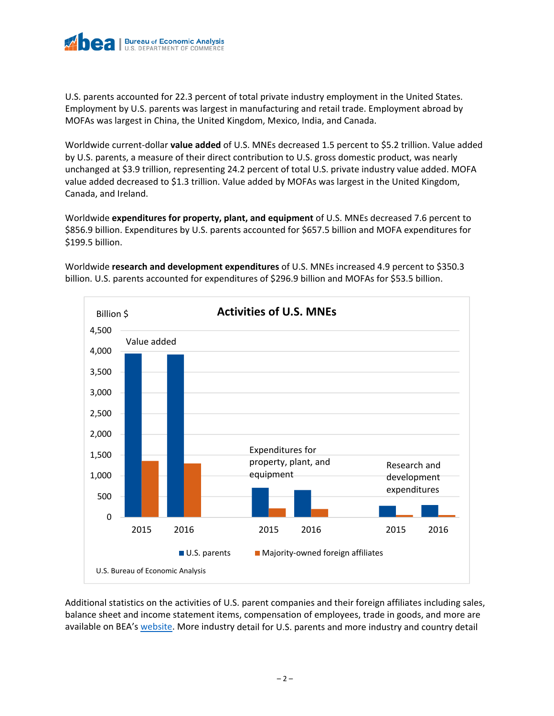

U.S. parents accounted for 22.3 percent of total private industry employment in the United States. Employment by U.S. parents was largest in manufacturing and retail trade. Employment abroad by MOFAs was largest in China, the United Kingdom, Mexico, India, and Canada.

Worldwide current‐dollar **value added** of U.S. MNEs decreased 1.5 percent to \$5.2 trillion. Value added by U.S. parents, a measure of their direct contribution to U.S. gross domestic product, was nearly unchanged at \$3.9 trillion, representing 24.2 percent of total U.S. private industry value added. MOFA value added decreased to \$1.3 trillion. Value added by MOFAs was largest in the United Kingdom, Canada, and Ireland.

Worldwide **expenditures for property, plant, and equipment** of U.S. MNEs decreased 7.6 percent to \$856.9 billion. Expenditures by U.S. parents accounted for \$657.5 billion and MOFA expenditures for \$199.5 billion.



Worldwide **research and development expenditures** of U.S. MNEs increased 4.9 percent to \$350.3 billion. U.S. parents accounted for expenditures of \$296.9 billion and MOFAs for \$53.5 billion.

Additional statistics on the activities of U.S. parent companies and their foreign affiliates including sales, balance sheet and income statement items, compensation of employees, trade in goods, and more are available on BEA's website. More industry detail for U.S. parents and more industry and country detail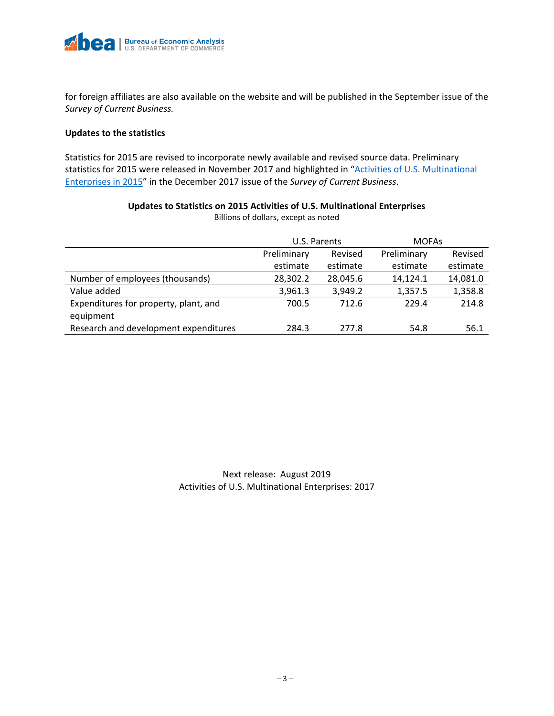

for foreign affiliates are also available on the website and will be published in the September issue of the *Survey of Current Business.*

#### **Updates to the statistics**

Statistics for 2015 are revised to incorporate newly available and revised source data. Preliminary statistics for 2015 were released in November 2017 and highlighted in "Activities of U.S. Multinational Enterprises in 2015" in the December 2017 issue of the *Survey of Current Business*.

|                                       |             | U.S. Parents | <b>MOFAS</b> |          |  |  |
|---------------------------------------|-------------|--------------|--------------|----------|--|--|
|                                       | Preliminary | Revised      | Preliminary  | Revised  |  |  |
|                                       | estimate    | estimate     | estimate     | estimate |  |  |
| Number of employees (thousands)       | 28,302.2    | 28,045.6     | 14,124.1     | 14,081.0 |  |  |
| Value added                           | 3,961.3     | 3,949.2      | 1,357.5      | 1,358.8  |  |  |
| Expenditures for property, plant, and | 700.5       | 712.6        | 229.4        | 214.8    |  |  |
| equipment                             |             |              |              |          |  |  |
| Research and development expenditures | 284.3       | 277.8        | 54.8         | 56.1     |  |  |

**Updates to Statistics on 2015 Activities of U.S. Multinational Enterprises** Billions of dollars, except as noted

### Next release: August 2019 Activities of U.S. Multinational Enterprises: 2017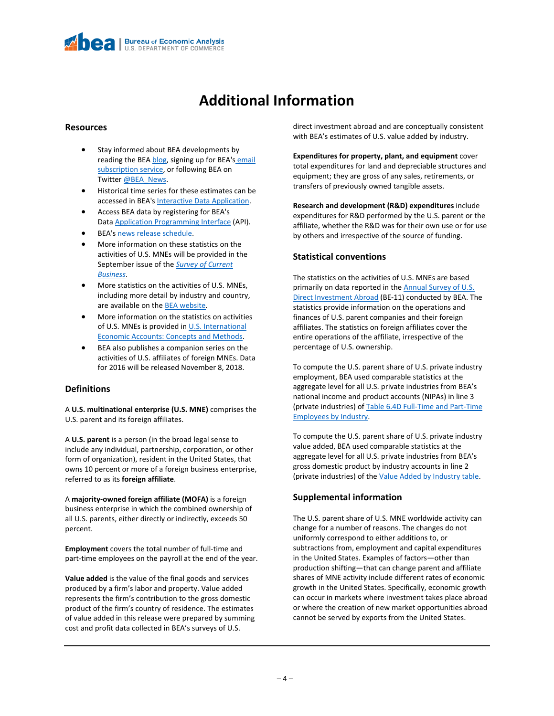## **Additional Information**

#### **Resources**

- Stay informed about BEA developments by reading the BEA blog, signing up for BEA's email subscription service, or following BEA on Twitter @BEA\_News.
- Historical time series for these estimates can be accessed in BEA's Interactive Data Application.
- Access BEA data by registering for BEA's Data Application Programming Interface (API).
- BEA's news release schedule.
- More information on these statistics on the activities of U.S. MNEs will be provided in the September issue of the *Survey of Current Business*.
- More statistics on the activities of U.S. MNEs, including more detail by industry and country, are available on the BEA website.
- More information on the statistics on activities of U.S. MNEs is provided in U.S. International Economic Accounts: Concepts and Methods.
- BEA also publishes a companion series on the activities of U.S. affiliates of foreign MNEs. Data for 2016 will be released November 8, 2018.

#### **Definitions**

A **U.S. multinational enterprise (U.S. MNE)** comprises the U.S. parent and its foreign affiliates.

A **U.S. parent** is a person (in the broad legal sense to include any individual, partnership, corporation, or other form of organization), resident in the United States, that owns 10 percent or more of a foreign business enterprise, referred to as its **foreign affiliate**.

A **majority‐owned foreign affiliate (MOFA)** is a foreign business enterprise in which the combined ownership of all U.S. parents, either directly or indirectly, exceeds 50 percent.

**Employment** covers the total number of full‐time and part-time employees on the payroll at the end of the year.

**Value added** is the value of the final goods and services produced by a firm's labor and property. Value added represents the firm's contribution to the gross domestic product of the firm's country of residence. The estimates of value added in this release were prepared by summing cost and profit data collected in BEA's surveys of U.S.

direct investment abroad and are conceptually consistent with BEA's estimates of U.S. value added by industry.

**Expenditures for property, plant, and equipment** cover total expenditures for land and depreciable structures and equipment; they are gross of any sales, retirements, or transfers of previously owned tangible assets.

**Research and development (R&D) expenditures** include expenditures for R&D performed by the U.S. parent or the affiliate, whether the R&D was for their own use or for use by others and irrespective of the source of funding.

#### **Statistical conventions**

The statistics on the activities of U.S. MNEs are based primarily on data reported in the **Annual Survey of U.S.** Direct Investment Abroad (BE-11) conducted by BEA. The statistics provide information on the operations and finances of U.S. parent companies and their foreign affiliates. The statistics on foreign affiliates cover the entire operations of the affiliate, irrespective of the percentage of U.S. ownership.

To compute the U.S. parent share of U.S. private industry employment, BEA used comparable statistics at the aggregate level for all U.S. private industries from BEA's national income and product accounts (NIPAs) in line 3 (private industries) of Table 6.4D Full‐Time and Part‐Time Employees by Industry.

To compute the U.S. parent share of U.S. private industry value added, BEA used comparable statistics at the aggregate level for all U.S. private industries from BEA's gross domestic product by industry accounts in line 2 (private industries) of the Value Added by Industry table.

#### **Supplemental information**

The U.S. parent share of U.S. MNE worldwide activity can change for a number of reasons. The changes do not uniformly correspond to either additions to, or subtractions from, employment and capital expenditures in the United States. Examples of factors—other than production shifting—that can change parent and affiliate shares of MNE activity include different rates of economic growth in the United States. Specifically, economic growth can occur in markets where investment takes place abroad or where the creation of new market opportunities abroad cannot be served by exports from the United States.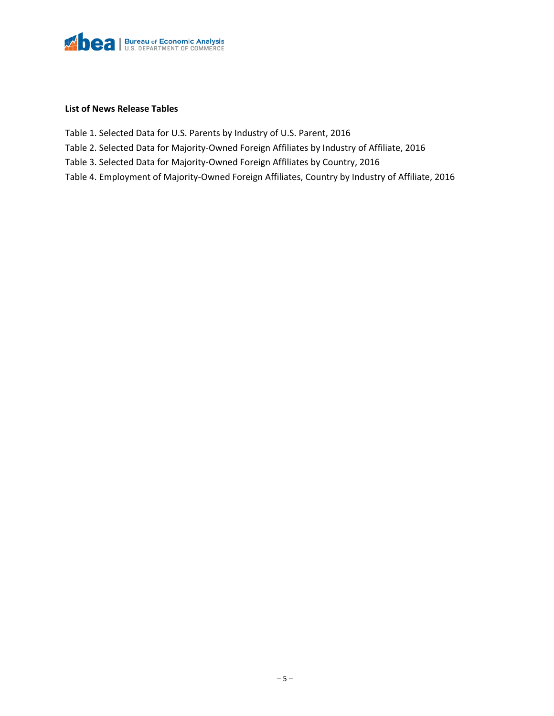

#### **List of News Release Tables**

- Table 1. Selected Data for U.S. Parents by Industry of U.S. Parent, 2016
- Table 2. Selected Data for Majority‐Owned Foreign Affiliates by Industry of Affiliate, 2016
- Table 3. Selected Data for Majority‐Owned Foreign Affiliates by Country, 2016
- Table 4. Employment of Majority‐Owned Foreign Affiliates, Country by Industry of Affiliate, 2016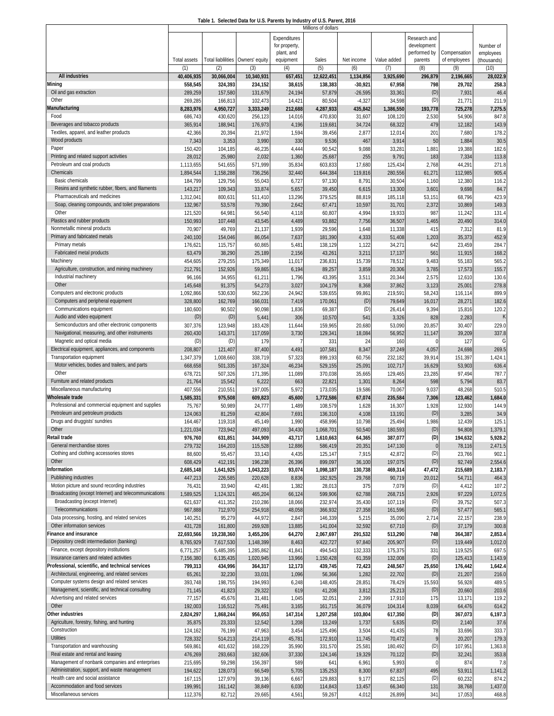| Table 1. Selected Data for U.S. Parents by Industry of U.S. Parent, 2016 |  |  |
|--------------------------------------------------------------------------|--|--|
|                                                                          |  |  |

|                                                                              |                      |                                  |                    |                  | Millions of dollars    |                   |                    |                    |                     |                          |
|------------------------------------------------------------------------------|----------------------|----------------------------------|--------------------|------------------|------------------------|-------------------|--------------------|--------------------|---------------------|--------------------------|
|                                                                              |                      |                                  |                    | Expenditures     |                        |                   |                    | Research and       |                     |                          |
|                                                                              |                      |                                  |                    | for property,    |                        |                   |                    | development        |                     | Number of                |
|                                                                              |                      |                                  | Owners' equity     | plant, and       |                        |                   |                    | performed by       | Compensation        | employees<br>(thousands) |
|                                                                              | Total assets<br>(1)  | <b>Total liablilities</b><br>(2) | (3)                | equipment<br>(4) | Sales<br>(5)           | Net income<br>(6) | Value added<br>(7) | parents<br>(8)     | of employees<br>(9) | (10)                     |
| <b>All industries</b>                                                        | 40,406,935           | 30,066,004                       | 10,340,931         | 657,451          | 12,622,451             | 1,134,856         | 3,925,690          | 296,879            | 2,196,665           | 28,022.9                 |
| Mining                                                                       | 558,545              | 324,393                          | 234,152            | 38,615           | 138,383                | $-30,921$         | 67,958             | 798                | 29,702              | 258.3                    |
| Oil and gas extraction                                                       | 289,259              | 157,580                          | 131,679            | 24,194           | 57,879                 | $-26,595$         | 33,361             | (D)                | 7,931               | 46.4                     |
| Other                                                                        | 269,285              | 166,813                          | 102,473            | 14,421           | 80,504                 | $-4,327$          | 34,598             | (D)                | 21,771              | 211.9                    |
| Manufacturing                                                                | 8,283,976            | 4,950,727                        | 3,333,249          | 212,688          | 4,287,933              | 435,842           | 1,386,550          | 193,778            | 725,278             | 7,275.5                  |
| Food                                                                         | 686,743              | 430,620                          | 256,123            | 14,016           | 470,830                | 31,607            | 108,120            | 2,530              | 54,906              | 847.8                    |
| Beverages and tobacco products                                               | 365,914              | 188,941                          | 176,973            | 4,196            | 119,681                | 34,724            | 68,322             | 479                | 12,182              | 143.9                    |
| Textiles, apparel, and leather products                                      | 42,366               | 20,394                           | 21,972             | 1,594            | 39,456                 | 2,87              | 12,014             | 201                | 7,680               | 178.2                    |
| Wood products<br>Paper                                                       | 7,343                | 3,353                            | 3,990              | 330              | 9,536                  | 467               | 3,914              | 50                 | 1,884               | 30.5                     |
| Printing and related support activities                                      | 150,420<br>28,012    | 104,185<br>25,980                | 46,235<br>2,032    | 4,444            | 90,542                 | 9,088<br>255      | 33,281<br>9,791    | 1,881<br>183       | 19,388              | 182.6<br>113.8           |
| Petroleum and coal products                                                  | 1,113,655            | 541,655                          | 571,999            | 1,360<br>35,834  | 25,687<br>603,833      | 17,680            | 125,434            | 2,768              | 7,334<br>44,291     | 271.8                    |
| Chemicals                                                                    | 1,894,544            | 1,158,288                        | 736,256            | 32,440           | 644,384                | 119,816           | 280,556            | 61,271             | 112,985             | 905.4                    |
| <b>Basic chemicals</b>                                                       | 184,799              | 129,756                          | 55,043             | 6,727            | 97,130                 | 8,791             | 30,504             | 1,160              | 12,380              | 116.2                    |
| Resins and synthetic rubber, fibers, and filaments                           | 143,217              | 109,343                          | 33,874             | 5,657            | 39,450                 | 6,615             | 13,300             | 3,601              | 9,698               | 84.7                     |
| Pharmaceuticals and medicines                                                | 1,312,04             | 800,631                          | 511,410            | 13,296           | 379,525                | 88,819            | 185,118            | 53,151             | 68,796              | 423.9                    |
| Soap, cleaning compounds, and toilet preparations                            | 132,967              | 53,578                           | 79,390             | 2,642            | 67,471                 | 10,597            | 31,701             | 2,372              | 10,869              | 149.3                    |
| Other                                                                        | 121,520              | 64,981                           | 56,540             | 4,118            | 60,807                 | 4,994             | 19,933             | 987                | 11,242              | 131.4                    |
| Plastics and rubber products                                                 | 150,993              | 107,448                          | 43,545             | 4,489            | 93,882                 | 7,756             | 36,507             | 1,465              | 20,490              | 314.0                    |
| Nonmetallic mineral products                                                 | 70,90                | 49,769                           | 21,137             | 1,939            | 29,596                 | 1,648             | 11,338             | 415                | 7,312               | 81.9                     |
| Primary and fabricated metals<br>Primary metals                              | 240,100              | 154,046                          | 86,054             | 7,637            | 181,390                | 4,333             | 51,408             | 1,203              | 35,373              | 452.9                    |
| Fabricated metal products                                                    | 176,621<br>63,479    | 115,757<br>38,290                | 60,865<br>25,189   | 5,481<br>2,156   | 138,129<br>43,261      | 1,122<br>3,211    | 34,271<br>17,137   | 642<br>561         | 23,459<br>11,915    | 284.7<br>168.2           |
| Machinery                                                                    | 454,605              | 279,255                          | 175,349            | 11,017           | 236,831                | 15,739            | 78,512             | 9,483              | 55,183              | 565.2                    |
| Agriculture, construction, and mining machinery                              | 212,791              | 152,926                          | 59,865             | 6,194            | 89,257                 | 3,859             | 20,306             | 3,785              | 17,573              | 155.7                    |
| Industrial machinery                                                         | 96,166               | 34,955                           | 61,211             | 1,796            | 43,395                 | 3,511             | 20,344             | 2,575              | 12,610              | 130.6                    |
| Other                                                                        | 145,648              | 91,375                           | 54,273             | 3,027            | 104,179                | 8,368             | 37,862             | 3,123              | 25,001              | 278.8                    |
| Computers and electronic products                                            | 1,092,866            | 530,630                          | 562,236            | 24,942           | 539,655                | 99,861            | 219,591            | 58,243             | 116,114             | 899.9                    |
| Computers and peripheral equipment                                           | 328,800              | 162,769                          | 166,031            | 7,419            | 170,061                | (D)               | 79,649             | 16,017             | 28,271              | 182.6                    |
| Communications equipment                                                     | 180,600              | 90,502                           | 90,098             | 1,836            | 69,387                 | (D)               | 26,414             | 9,394              | 15,816              | 120.2                    |
| Audio and video equipment                                                    | (D)                  | (D)                              | 5,441              | 306              | 10,570                 | 541               | 3,326              | 828                | 2,283               |                          |
| Semiconductors and other electronic components                               | 307,376              | 123,948                          | 183,428            | 11,644           | 159,965                | 20,680            | 53,090             | 20,857             | 30,407              | 229.0                    |
| Navigational, measuring, and other instruments<br>Magnetic and optical media | 260,430<br>(D)       | 143,37'<br>(D)                   | 117,059<br>179     | 3,730            | 129,341                | 18,084<br>24      | 56,952             | 11,147<br>$\Omega$ | 39,209<br>127       | 337.8<br>G               |
| Electrical equipment, appliances, and components                             | 208,807              | 121,407                          | 87,400             | 4,491            | 331<br>107,581         | 8,347             | 160<br>37,249      | 4,057              | 24,698              | 269.5                    |
| Transportation equipment                                                     | 1,347,379            | 1,008,660                        | 338,719            | 57,323           | 899,193                | 60,756            | 232,182            | 39,914             | 151,397             | 1,424.1                  |
| Motor vehicles, bodies and trailers, and parts                               | 668,658              | 501,335                          | 167,324            | 46,234           | 529,155                | 25,091            | 102,717            | 16,629             | 53,903              | 636.4                    |
| Other                                                                        | 678,721              | 507,326                          | 171,395            | 11,089           | 370,038                | 35,665            | 129,465            | 23,285             | 97,494              | 787.7                    |
| Furniture and related products                                               | 21,764               | 15,542                           | 6,222              | 663              | 22,821                 | 1,301             | 8,264              | 598                | 5,794               | 83.7                     |
| Miscellaneous manufacturing                                                  | 407,556              | 210,551                          | 197,005            | 5,972            | 173,035                | 19,586            | 70,067             | 9,037              | 48,268              | 510.5                    |
| Wholesale trade                                                              | 1,585,331            | 975,508                          | 609,823            | 45,600           | 1,772,586              | 67,074            | 235,584            | 7,306              | 123,462             | 1,684.0                  |
| Professional and commercial equipment and supplies                           | 75,767               | 50,989                           | 24,777             | 1,489            | 108,579                | 1,628             | 16,307             | 1,928              | 12,930              | 144.9                    |
| Petroleum and petroleum products                                             | 124,063              | 81,259                           | 42,804             | 7,691            | 136,310                | 4,108             | 13,191             | (D)                | 3,285               | 34.9                     |
| Drugs and druggists' sundries<br>Other                                       | 164,467              | 119,318                          | 45,149             | 1,990            | 458,996                | 10,798            | 25,494             | 1,986<br>(D)       | 12,439              | 125.1<br>1,379.1         |
| Retail trade                                                                 | 1,221,034<br>976,760 | 723,942<br>631,851               | 497,093<br>344,909 | 34,430<br>43,717 | 1,068,701<br>1,610,663 | 50,540<br>64,365  | 180,593<br>387,077 | (D)                | 94,808<br>194,632   | 5,928.2                  |
| General merchandise stores                                                   | 279,732              | 164,203                          | 115,528            | 12,886           | 586,419                | 20,351            | 147,130            | $\mathbf{0}$       | 78,116              | 2,471.5                  |
| Clothing and clothing accessories stores                                     | 88,600               | 55,457                           | 33,143             | 4,435            | 125,147                | 7,915             | 42,872             | (D)                | 23,766              | 902.1                    |
| Other                                                                        | 608,429              | 412,191                          | 196,238            | 26,396           | 899,097                | 36,100            | 197,075            | (D)                | 92,749              | 2,554.6                  |
| Information                                                                  | 2,685,148            | 1,641,925                        | 1,043,223          | 93,074           | 1,098,187              | 130,738           | 469,314            | 47,472             | 215,689             | 2,183.7                  |
| Publishing industries                                                        | 447,213              | 226,585                          | 220,628            | 8,836            | 182,925                | 29,768            | 90,719             | 20,012             | 54,711              | 464.3                    |
| Motion picture and sound recording industries                                | 76,431               | 33,940                           | 42,491             | 1,382            | 28,013                 | 375               | 7,079              | (D)                | 4,412               | 107.2                    |
| Broadcasting (except Internet) and telecommunications                        | 1,589,525            | 1,124,321                        | 465,204            | 66,124           | 599,906                | 62,788            | 268,715            | 2,926              | 97,229              | 1,072.5                  |
| Broadcasting (except Internet)                                               | 621,637              | 411,352                          | 210,286            | 18,066           | 232,974                | 35,430            | 107,119            | (D)                | 39,752              | 507.3                    |
| Telecommunications<br>Data processing, hosting, and related services         | 967,888<br>140,251   | 712,970<br>95,279                | 254,918<br>44,972  | 48,058<br>2,847  | 366,932<br>146,339     | 27,358<br>5,215   | 161,596<br>35,090  | (D)<br>2,714       | 57,477<br>22,157    | 565.1<br>238.9           |
| Other information services                                                   | 431,728              | 161,800                          | 269,928            | 13,885           | 141,004                | 32,592            | 67,710             | (D)                | 37,179              | 300.8                    |
| inance and insurance                                                         | 22,693,566           | 19,238,360                       | 3,455,206          | 64,270           | 2,067,697              | 291,532           | 513,290            | 748                | 364,387             | 2,853.4                  |
| Depository credit intermediation (banking)                                   | 8,765,929            | 7,617,530                        | 1,148,399          | 8,463            | 422,727                | 97,840            | 205,907            | (D)                | 119,449             | 1,012.0                  |
| Finance, except depository institutions                                      | 6,771,257            | 5,485,395                        | 1,285,862          | 41,841           | 494,543                | 132,333           | 175,375            | 331                | 119,525             | 697.5                    |
| Insurance carriers and related activities                                    | 7,156,380            | 6,135,435                        | 1,020,945          | 13,966           | 1,150,428              | 61,359            | 132,008            | (D)                | 125,413             | 1,143.9                  |
| Professional, scientific, and technical services                             | 799,313              | 434,996                          | 364,317            | 12,173           | 439,745                | 72,423            | 248,567            | 25,650             | 176,442             | 1,642.4                  |
| Architectural, engineering, and related services                             | 65,261               | 32,230                           | 33,031             | 1,096            | 56,366                 | 1,282             | 22,702             | (D)                | 21,207              | 216.0                    |
| Computer systems design and related services                                 | 393,748              | 198,755                          | 194,993            | 6,248            | 148,405                | 28,851            | 78,429             | 15,593             | 56,928              | 489.5                    |
| Management, scientific, and technical consulting                             | 71,145               | 41,823                           | 29,322             | 619              | 41,208                 | 3,812             | 25,213             | (D)                | 20,660              | 203.6                    |
| Advertising and related services<br>Other                                    | 77,157               | 45,676                           | 31,481             | 1,045            | 32,051                 | 2,399             | 17,910             | 175                | 13,171              | 119.2                    |
| Other industries                                                             | 192,003<br>2,824,297 | 116,512<br>1,868,244             | 75,491<br>956,053  | 3,165<br>147,314 | 161,715<br>1,207,258   | 36,079<br>103,804 | 104,314<br>617,350 | 8,039<br>(D)       | 64,476<br>367,073   | 614.2<br>6,197.3         |
| Agriculture, forestry, fishing, and hunting                                  | 35,875               | 23,333                           | 12,542             | 1,208            | 13,249                 | 1,737             | 5,635              | (D)                | 2,140               | 37.6                     |
| Construction                                                                 | 124,162              | 76,199                           | 47,963             | 3,454            | 125,496                | 3,504             | 41,435             | 78                 | 33,696              | 333.7                    |
| <b>Utilities</b>                                                             | 728,332              | 514,213                          | 214,119            | 45,781           | 172,910                | 11,745            | 70,472             | 9                  | 20,207              | 179.3                    |
| Transportation and warehousing                                               | 569,861              | 401,632                          | 168,229            | 35,990           | 331,570                | 25,581            | 180,492            | (D)                | 107,951             | 1,363.8                  |
| Real estate and rental and leasing                                           | 476,269              | 293,663                          | 182,606            | 37,330           | 124,146                | 19,329            | 70,122             | (D)                | 32,241              | 353.8                    |
| Management of nonbank companies and enterprises                              | 215,695              | 59,298                           | 156,397            | 589              | 641                    | 6,961             | 5,993              | $\Omega$           | 874                 | 7.8                      |
| Administration, support, and waste management                                | 194,622              | 128,073                          | 66,549             | 5,705            | 135,253                | 8,300             | 67,837             | 495                | 53,911              | 1,141.2                  |
| Health care and social assistance                                            | 167,115              | 127,979                          | 39,136             | 6,667            | 129,883                | 9,177             | 82,125             | (D)                | 60,232              | 874.2                    |
| Accommodation and food services<br>Miscellaneous services                    | 199,991              | 161,142                          | 38,849             | 6,030            | 114,843                | 13,457            | 66,340<br>26,899   | 131<br>341         | 38,768              | 1,437.0                  |
|                                                                              | 112,376              | 82,712                           | 29,665             | 4,561            | 59,267                 | 4,012             |                    |                    | 17,053              | 468.8                    |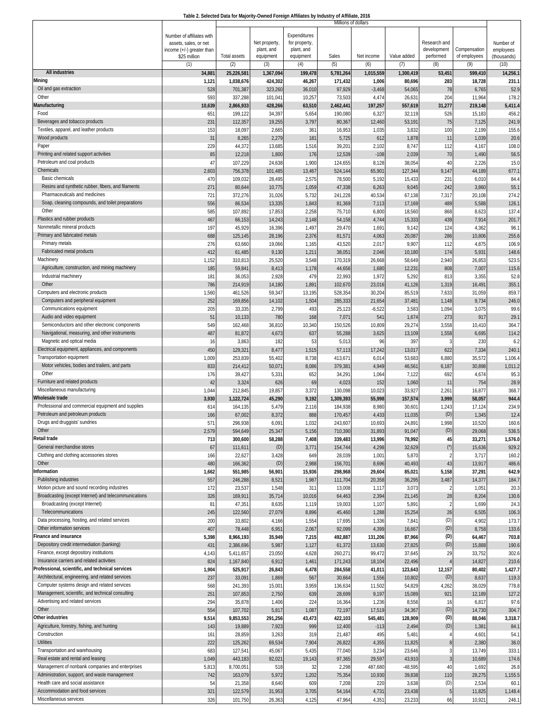| Table 2. Selected Data for Majority-Owned Foreign Affiliates by Industry of Affiliate, 2016 |  |
|---------------------------------------------------------------------------------------------|--|
| Millions of dollars                                                                         |  |

|                                                                                    |                           |                        |                  |                 | Millions of dollars |                   |                  |                |                  |                  |
|------------------------------------------------------------------------------------|---------------------------|------------------------|------------------|-----------------|---------------------|-------------------|------------------|----------------|------------------|------------------|
|                                                                                    | Number of affiliates with |                        |                  | Expenditures    |                     |                   |                  |                |                  |                  |
|                                                                                    | assets, sales, or net     |                        | Net property     | for property,   |                     |                   |                  | Research and   |                  | Number of        |
|                                                                                    | income (+/-) greater than |                        | plant, and       | plant, and      |                     |                   |                  | development    | Compensation     | employees        |
|                                                                                    | \$25 million              | <b>Total assets</b>    | equipment        | equipment       | Sales               | Net income        | Value added      | performed      | of employees     | (thousands)      |
| All industries                                                                     | (1)<br>34,881             | (2)<br>25,226,581      | (3)<br>1,367,094 | (4)<br>199,478  | (5)<br>5,781,264    | (6)<br>1,015,559  | (7)<br>1,300,419 | (8)<br>53,451  | (9)<br>599,410   | (10)<br>14,256.1 |
| Mining                                                                             | 1,121                     | 1,038,676              | 424,302          | 46,267          | 171,432             | 1,006             | 80,696           | 283            | 18,728           | 231.7            |
| Oil and gas extraction                                                             | 528                       | 701,387                | 323,260          | 36,010          | 97,929              | $-3,468$          | 54,065           | 78             | 6,765            | 52.9             |
| Other                                                                              | 593                       | 337,288                | 101,041          | 10,257          | 73,503              | 4,474             | 26,631           | 204            | 11,964           | 178.2            |
| Manufacturing                                                                      | 10,639                    | 2,866,933              | 428,266          | 63,510          | 2,462,441           | 197,257           | 557,619          | 31,277         | 219,148          | 5,411.4          |
| Food                                                                               | 651                       | 199,122                | 34,397           | 5,654           | 190,080             | 6,327             | 32,119           | 526            | 15,183           | 456.2            |
| Beverages and tobacco products                                                     | 231                       | 112,357                | 19,255           | 3,797           | 80,367              | 12,460            | 53,191           | 75             | 7,125            | 241.9            |
| Textiles, apparel, and leather products                                            | 153                       | 18,097                 | 2,665            | 361             | 16,953              | 1,035             | 3,832            | 100            | 2,199            | 155.6            |
| Wood products                                                                      | 31                        | 8,265                  | 2,279            | 181             | 5,725               | 612               | 1,878            | 11             | 1,039            | 20.6             |
| Paper                                                                              | 229                       | 44,372                 | 13,685           | 1,516           | 39,20'              | 2,102             | 8,747            | 112            | 4,167            | 108.0            |
| Printing and related support activities                                            | 85                        | 12,218                 | 1,800            | 176             | 12,539              | $-108$            | 2,039            | 70             | 1,490            | 56.5             |
| Petroleum and coal products                                                        | 47                        | 107,229                | 24,638           | 1,900           | 124,655             | 8,128             | 38,054           | 40             | 2,226            | 15.0             |
| Chemicals                                                                          | 2,603                     | 756,378                | 101,485          | 13,467          | 524,144             | 65,901            | 127,344          | 9,147          | 44,189           | 677.1            |
| <b>Basic chemicals</b>                                                             | 470                       | 109,032                | 28,495           | 2,575           | 78,500              | 5,192             | 15,433           | 231            | 6,010            | 84.4             |
| Resins and synthetic rubber, fibers, and filaments                                 | 271                       | 80,644                 | 10,775           | 1,059           | 47,338              | 6,263             | 9,045            | 242            | 3,860            | 55.1             |
| Pharmaceuticals and medicines<br>Soap, cleaning compounds, and toilet preparations | 721<br>556                | 372,276<br>86,534      | 31,026<br>13,335 | 5,732<br>1,843  | 241,228<br>81,369   | 40,534<br>7,113   | 67,138<br>17,169 | 7,317<br>489   | 20,108           | 274.2<br>126.1   |
| Other                                                                              | 585                       | 107,892                | 17,853           | 2,258           | 75,710              | 6,800             | 18,560           | 868            | 5,588<br>8,623   | 137.4            |
| Plastics and rubber products                                                       | 467                       | 66,153                 | 14,243           | 2,148           | 54,158              | 4,744             | 15,333           | 439            | 7,914            | 201.7            |
| Nonmetallic mineral products                                                       | 197                       | 45,929                 | 16,396           | 1,497           | 29,470              | 1,69              | 9,142            | 124            | 4,362            | 96.7             |
| Primary and fabricated metals                                                      | 688                       | 125,14                 | 28,196           | 2,376           | 81,57'              | 4,063             | 20,087           | 286            | 10,806           | 255.6            |
| Primary metals                                                                     | 276                       | 63,660                 | 19,066           | 1,165           | 43,520              | 2,017             | 9,907            | 112            | 4,875            | 106.9            |
| Fabricated metal products                                                          | 412                       | 61,485                 | 9,130            | 1,211           | $38,05^{\circ}$     | 2,046             | 10,180           | 174            | 5,931            | 148.6            |
| Machinery                                                                          | 1,152                     | 310,813                | 25,520           | 3,548           | 170,319             | 26,668            | 58,649           | 2,940          | 26,853           | 523.5            |
| Agriculture, construction, and mining machinery                                    | 185                       | 59,84                  | 8,413            | 1,178           | 44,656              | 1,680             | 12,231           | 808            | 7,007            | 115.6            |
| Industrial machinery                                                               | 181                       | 36,053                 | 2,928            | 479             | 22,993              | 1,972             | 5,292            | 813            | 3,355            | 52.8             |
| Other                                                                              | 786                       | 214,919                | 14,180           | 1,891           | 102,670             | 23,016            | 41,126           | 1,319          | 16,49            | 355.1            |
| Computers and electronic products                                                  | 1,560                     | 461,526                | 59,347           | 13,195          | 528,354             | 30,204            | 85,519           | 7,633          | 31,059           | 859.7            |
| Computers and peripheral equipment                                                 | 252                       | 169,85                 | 14,102           | 1,504           | 285,333             | 21,654            | 37,481           | 1,148          | 9,734            | 246.0            |
| Communications equipment                                                           | 205                       | 33,335                 | 2,799            | 493             | 25,123              | $-6,522$          | 3,583            | 1,094          | 3,075            | 99.6             |
| Audio and video equipment<br>Semiconductors and other electronic components        | 51                        | 10,133                 | 780              | 168             | 7,07                | 541               | 1,674            | 273            | 917              | 29.1             |
| Navigational, measuring, and other instruments                                     | 549                       | 162,468                | 36,810           | 10,340          | 150,526<br>55,288   | 10,809            | 29,274           | 3,558<br>1,558 | 10,410           | 364.7            |
| Magnetic and optical media                                                         | 487<br>16                 | 81,872<br>3,86         | 4,673<br>182     | 637<br>53       | 5,013               | 3,625<br>96       | 13,109<br>397    |                | 6,695<br>230     | 114.2<br>6.2     |
| Electrical equipment, appliances, and components                                   | 450                       | 129,32                 | 8,47             | 1,515           | 57,113              | 17,242            | 13,017           | 622            | 7,334            | 240.1            |
| <b>Transportation equipment</b>                                                    | 1,009                     | 253,83                 | 55,402           | 8,738           | 413,671             | 6,014             | 53,683           | 6,880          | 35,572           | 1,106.4          |
| Motor vehicles, bodies and trailers, and parts                                     | 833                       | 214,412                | 50,07            | 8,086           | 379,381             | 4,949             | 46,561           | 6,187          | 30,898           | 1,011.2          |
| Other                                                                              | 176                       | 39,427                 | 5,331            | 652             | 34,29               | 1,064             | 7,122            | 692            | 4,674            | 95.3             |
| Furniture and related products                                                     | 42                        | 3,324                  | 626              | 69              | 4,023               | 152               | 1,060            | 11             | 754              | 28.9             |
| Miscellaneous manufacturing                                                        | 1,044                     | 212,84                 | 19,857           | 3,372           | 130,098             | 10,023            | 33,927           | 2,261          | 16,877           | 368.7            |
| Wholesale trade                                                                    | 3,930                     | 1,122,724              | 45,290           | 9,192           | 1,309,393           | 55,998            | 157,574          | 3,999          | 58,057           | 944.4            |
| Professional and commercial equipment and supplies                                 | 614                       | 164,13                 | 5,479            | 2,116           | 184,938             | 8,980             | 30,601           | 1,243          | 17,124           | 234.9            |
| Petroleum and petroleum products                                                   | 166                       | 67,002                 | 8,372            | 888             | 170,457             | 4,433             | 11,035           | (D)            | 1,345            | 12.4             |
| Drugs and druggists' sundries<br>Other                                             | 571                       | 296,938                | 6,091            | 1,032           | 243,607             | 10,693            | 24,891           | 1,998          | 10,520           | 160.6            |
| Retail trade                                                                       | 2,579<br>713              | 594,649<br>300,600     | 25,347<br>58,288 | 5,156<br>7,408  | 710,390<br>339,483  | 31,893<br>13,996  | 91,047<br>78,992 | (D)<br>45      | 29,068<br>33,271 | 536.5<br>1,576.0 |
| General merchandise stores                                                         | 67                        | 111,61'                | (D)              | 3,771           | 154,744             | 4,298             | 32,629           | $(\dot{\ })$   | 15,636           | 929.2            |
| Clothing and clothing accessories stores                                           | 166                       | 22,627                 | 3,428            | 649             | 28,039              | 1,001             | 5,870            |                | 3,717            | 160.2            |
| Other                                                                              | 480                       | 166,362                | (D)              | 2,988           | 156,70              | 8,696             | 40,493           | 43             | 13,917           | 486.6            |
| nformation                                                                         | 1,662                     | 551,985                | 56,901           | 15,936          | 298,968             | 29,604            | 85,021           | 5,158          | 37,291           | 642.9            |
| Publishing industries                                                              | 557                       | 246,288                | 8,521            | 1,987           | 111,704             | 20,358            | 36,295           | 3,487          | 14,377           | 184.7            |
| Motion picture and sound recording industries                                      | 172                       | 23,537                 | 1,548            | 311             | 13,008              | 1,117             | 3,073            |                | 1,051            | 20.3             |
| Broadcasting (except Internet) and telecommunications                              | 326                       | 169,91                 | 35,714           | 10,016          | 64,463              | 2,394             | 21,145           | 28             | 8,204            | 130.6            |
| Broadcasting (except Internet)                                                     | 81                        | 47,35                  | 8,635            | 1,119           | 19,003              | 1,107             | 5,891            |                | 1,699            | 24.3             |
| Telecommunications                                                                 | 245                       | 122,560                | 27,079           | 8,896           | 45,460              | 1,288             | 15,254           | 26             | 6,505            | 106.3            |
| Data processing, hosting, and related services                                     | 200                       | 33,802                 | 4,166            | 1,554           | 17,695              | 1,336             | 7,841            | (D)            | 4,902            | 173.7            |
| Other information services<br>inance and insurance                                 | 407                       | 78,448                 | 6,951            | 2,067           | 92,099              | 4,399             | 16,667           | (D)<br>(D)     | 8,758            | 133.6<br>703.8   |
| Depository credit intermediation (banking)                                         | 5,398<br>431              | 8,966,193<br>2,386,696 | 35,949<br>5,987  | 7,215<br>1,127  | 492,887<br>61,372   | 131,206<br>13,630 | 87,966<br>27,825 | (D)            | 64,467<br>15,888 | 190.6            |
| Finance, except depository institutions                                            | 4,143                     | 5,411,657              | 23,050           | 4,628           | 260,27              | 99,472            | 37,645           | 29             | 33,752           | 302.6            |
| Insurance carriers and related activities                                          | 824                       | 1,167,840              | 6,912            | 1,461           | 171,243             | 18,104            | 22,496           |                | 14,827           | 210.6            |
| Professional, scientific, and technical services                                   | 1,904                     | 525,917                | 26,843           | 6,478           | 284,558             | 41,011            | 123,643          | 12,157         | 80,402           | 1,427.7          |
| Architectural, engineering, and related services                                   | 237                       | 33,09                  | 1,869            | 567             | 30,664              | 1,556             | 10,802           | (D)            | 8,637            | 119.3            |
| Computer systems design and related services                                       | 568                       | 241,393                | 15,001           | 3,959           | 136,634             | 11,502            | 54,829           | 4,262          | 38,029           | 778.8            |
| Management, scientific, and technical consulting                                   | 251                       | 107,853                | 2,750            | 639             | 28,699              | 9,197             | 15,089           | 921            | 12,189           | 127.2            |
| Advertising and related services                                                   | 294                       | 35,878                 | 1,406            | 224             | 16,364              | 1,236             | 8,556            | 16             | 6,817            | 97.6             |
| Other                                                                              | 554                       | 107,702                | 5,817            | 1,087           | 72,197              | 17,519            | 34,367           | (D)            | 14,730           | 304.7            |
| Other industries                                                                   | 9,514                     | 9,853,553              | 291,256          | 43,473          | 422,103             | 545,481           | 128,909          | (D)            | 88,046           | 3,318.7          |
| Agriculture, forestry, fishing, and hunting                                        | 143                       | 19,889                 | 7,923            | 999             | 12,400              | $-113$            | 2,494            | (D)            | 1,381            | 84.1             |
| Construction<br><b>Utilities</b>                                                   | 161                       | 28,859                 | 3,263            | 319             | 21,487              | 495               | 5,481            |                | 4,601            | 54.              |
| Transportation and warehousing                                                     | 222<br>683                | 125,262<br>127,54      | 69,534           | 7,904           | 26,822              | 4,355             | 11,825           |                | 2,380            | 36.0<br>333.1    |
| Real estate and rental and leasing                                                 | 1,049                     | 443,183                | 45,067<br>92,021 | 5,435<br>19,143 | 77,040<br>97,365    | 3,234<br>29,597   | 23,646<br>43,910 |                | 13,749<br>10,689 | 174.6            |
| Management of nonbank companies and enterprises                                    | 5,813                     | 8,700,05               | 518              | 32              | 2,298               | 487,680           | $-48,595$        | 40             | 1,692            | 26.8             |
| Administration, support, and waste management                                      | 742                       | 163,079                | 5,972            | 1,202           | 75,354              | 10,930            | 39,838           | 110            | 28,275           | 1,155.5          |
| Health care and social assistance                                                  | 54                        | 21,358                 | 8,640            | 609             | 7,208               | 220               | 3,638            | (D)            | 2,534            | 60.1             |
| Accommodation and food services                                                    | 321                       | 122,579                | 31,953           | 3,705           | 54,164              | 4,731             | 23,438           |                | 11,825           | 1,148.4          |
| Miscellaneous services                                                             | 326                       | 101,750                | 26,363           | 4,125           | 47,964              | 4,351             | 23,233           | 66             | 10,92            | 246.1            |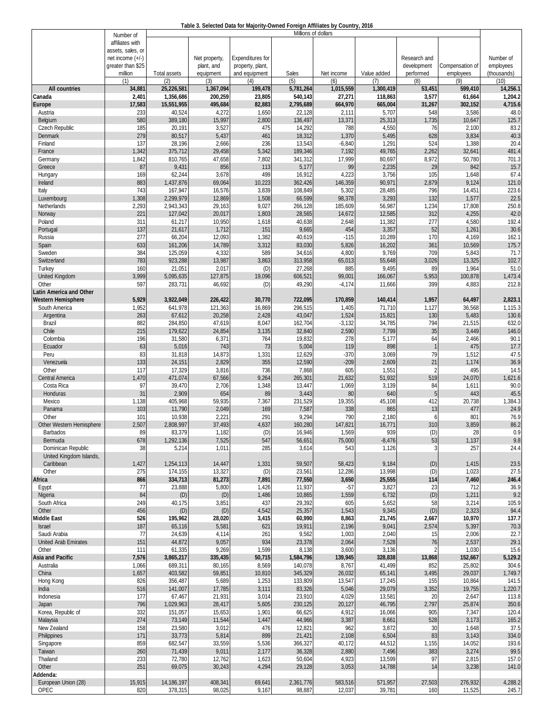| Table 3. Selected Data for Majority-Owned Foreign Affiliates by Country, 2016 |  |
|-------------------------------------------------------------------------------|--|
|                                                                               |  |
|                                                                               |  |

|                           | Number of          |                   |                  |                         | Millions of dollars |                 |                  |                          |                 |                |
|---------------------------|--------------------|-------------------|------------------|-------------------------|---------------------|-----------------|------------------|--------------------------|-----------------|----------------|
|                           | affiliates with    |                   |                  |                         |                     |                 |                  |                          |                 |                |
|                           | assets, sales, or  |                   |                  |                         |                     |                 |                  |                          |                 |                |
|                           | net income $(+/-)$ |                   | Net property     | <b>Expenditures for</b> |                     |                 |                  | Research and             |                 | Number of      |
|                           | greater than \$25  |                   | plant, and       | property, plant,        |                     |                 |                  | development              | Compensation of | employees      |
|                           | million            | Total assets      | equipment        | and equipment           | Sales               | Net income      | Value added      | performed                | employees       | (thousands)    |
|                           | (1)                | (2)               | (3)              | (4)                     | (5)                 | (6)             | (7)              | (8)                      | (9)             | (10)           |
| All countries             | 34,881             | 25,226,581        | 1,367,094        | 199,478                 | 5,781,264           | 1,015,559       | 1,300,419        | 53,451                   | 599,410         | 14,256.1       |
| Canada                    | 2,401              | 1,356,686         | 200,259          | 23,805                  | 540,143             | 27,271          | 118,863          | 3,577                    | 61,664          | 1,204.2        |
| Europe                    | 17,583             | 15,551,955        | 495,684          | 82,883                  | 2,795,689           | 664,970         | 665,004          | 31,267                   | 302,152         | 4,715.6        |
| Austria                   | 233<br>580         | 40,524            | 4,272<br>15,997  | 1,650<br>2,800          | 22,128              | 2,111<br>13,371 | 5,707            | 548<br>1,735             | 3,586           | 48.0<br>125.7  |
| Belgium                   | 185                | 389,180<br>20,191 | 3,527            | 475                     | 136,497<br>14,292   | 788             | 25,313<br>4,550  | 76                       | 10,647<br>2,100 | 83.2           |
| Czech Republic<br>Denmark | 279                | 80,517            | 5,437            | 461                     | 18,312              | 1,370           | 5,495            | 628                      | 3,834           | 40.3           |
| Finland                   | 137                | 28,196            | 2,666            | 236                     | 13,543              | $-6,840$        | 1,291            | 524                      | 1,388           | 20.4           |
| France                    | 1,342              | 375,712           | 29,458           | 5,342                   | 189,346             | 7,192           | 49,765           | 2,262                    | 32,64           | 481.4          |
| Germany                   | 1,842              | 810,765           | 47,658           | 7,802                   | 341,312             | 17,999          | 80,697           | 8,972                    | 50,780          | 701.3          |
| Greece                    | 87                 | 9,431             | 856              | 113                     | 5,177               | 99              | 2,235            | 29                       | 842             | 15.7           |
| Hungary                   | 169                | 62,244            | 3,678            | 499                     | 16,912              | 4,223           | 3,756            | 105                      | 1,648           | 67.4           |
| Ireland                   | 883                | 1,437,876         | 69,064           | 10,223                  | 362,426             | 146,359         | 90,971           | 2,879                    | 9,124           | 121.0          |
| Italy                     | 743                | 167,947           | 16,576           | 3,839                   | 108,849             | 5,302           | 28,485           | 796                      | 14,45           | 223.6          |
| Luxembourg                | 1,308              | 2,299,979         | 12,869           | 1,508                   | 66,599              | 98,378          | 3,293            | 132                      | 1,577           | 22.5           |
| Netherlands               | 2,293              | 2,943,343         | 29,163           | 9,027                   | 266,128             | 185,609         | 56,987           | 1,234                    | 17,808          | 250.8          |
| Norway                    | 221                | 127,042           | 20,017           | 1,803                   | 28,565              | 14,672          | 12,585           | 312                      | 4,255           | 42.0           |
| Poland                    | 311                | 61,217            | 10,950           | 1,618                   | 40,638              | 2,648           | 11,382           | 277                      | 4,580           | 192.4          |
| Portugal                  | 137                | 21,617            | 1,712            | 151                     | 9,665               | 454             | 3,357            | 52                       | 1,261           | 30.6           |
| Russia                    | 277                | 66,204            | 12,093           | 1,382                   | 40,619              | $-115$          | 10,289           | 170                      | 4,169           | 162.1          |
| Spain                     | 633                | 161,206           | 14,789           | 3,312                   | 83,030              | 5,826           | 16,202           | 361                      | 10,569          | 175.7          |
| Sweden                    | 384                | 125,059           | 4,332            | 589                     | 34,616              | 4,800           | 9,769            | 709                      | 5,843           | 71.7           |
| Switzerland               | 783                | 923,288           | 13,987           | 3,863                   | 313,958             | 65,013          | 55,648           | 3,026                    | 13,325          | 102.7          |
| Turkey                    | 160                | 21,051            | 2,017            | (D)                     | 27,268              | 885             | 9,495            | 89                       | 1,964           | 51.0           |
| <b>United Kingdom</b>     | 3,999              | 5,095,635         | 127,875          | 19,096                  | 606,521             | 99,001          | 166,067          | 5,953                    | 100,878         | 1,473.4        |
| Other                     | 597                | 283,731           | 46,692           | (D)                     | 49,290              | $-4,174$        | 11,666           | 399                      | 4,883           | 212.8          |
| Latin America and Other   |                    |                   |                  |                         |                     |                 |                  |                          |                 |                |
| <b>Western Hemisphere</b> | 5,929              | 3,922,049         | 226,422          | 30,770                  | 722,095             | 170,859         | 140,414          | 1,957                    | 64,497          | 2,823.1        |
| South America             | 1,952              | 641,978           | 121,363          | 16,869                  | 296,515             | 1,405           | 71,710           | 1,127                    | 36,568          | 1,115.3        |
| Argentina                 | 263                | 67,612            | 20,258           | 2,428                   | 43,047              | 1,524           | 15,821           | 130                      | 5,483           | 130.6          |
| Brazil<br>Chile           | 882<br>215         | 284,850           | 47,619           | 8,047                   | 162,704             | $-3,132$        | 34,785           | 794<br>35                | 21,515          | 632.0          |
| Colombia                  | 196                | 179,622<br>31,580 | 24,854<br>6,371  | 3,135<br>764            | 32,840<br>19,832    | 2,590<br>278    | 7,799<br>5,177   | 64                       | 3,449<br>2,466  | 146.0<br>90.1  |
| Ecuador                   | 63                 | 5,016             | 743              | 73                      | 5,004               | 119             | 898              | $\mathbf{1}$             | 475             | 17.7           |
| Peru                      | 83                 | 31,818            | 14,873           | 1,331                   | 12,629              | $-370$          | 3,069            | 79                       | 1,512           | 47.5           |
| Venezuela                 | 133                | 24,151            | 2,829            | 355                     | 12,590              | $-209$          | 2,609            | 21                       | 1,174           | 36.9           |
| Other                     | 117                | 17,329            | 3,816            | 736                     | 7,868               | 605             | 1,551            | 2                        | 495             | 14.5           |
| Central America           | 1,470              | 471,074           | 67,566           | 9,264                   | 265,301             | 21,632          | 51,932           | 519                      | 24,070          | 1,621.6        |
| Costa Rica                | 97                 | 39,470            | 2,706            | 1,348                   | 13,447              | 1,069           | 3,139            | 84                       | 1,61            | 90.0           |
| Honduras                  | 31                 | 2,909             | 654              | 89                      | 3,443               | 80              | 640              | 5                        | 443             | 45.5           |
| Mexico                    | 1,138              | 405,968           | 59,935           | 7,367                   | 231,529             | 19,355          | 45,108           | 412                      | 20,738          | 1,384.3        |
| Panama                    | 103                | 11,790            | 2,049            | 169                     | 7,587               | 338             | 865              | 13                       | 477             | 24.9           |
| Other                     | 101                | 10,938            | 2,221            | 291                     | 9,294               | 790             | 2,180            | 6                        | 801             | 76.9           |
| Other Western Hemisphere  | 2,507              | 2.808.997         | 37,493           | 4,637                   | 160,280             | 147,821         | 16,771           | 310                      | 3,859           | 86.2           |
| Barbados                  | 89                 | 83,379            | 1,182            | (D)                     | 16,946              | 1,569           | 939              | (D)                      | 28              | 0.9            |
| Bermuda                   | 678                | 1,292,136         | 7,525            | 547                     | 56,651              | 75,000          | $-8,476$         | 53                       | 1,137           | 9.8            |
| Dominican Republic        | 38                 | 5,214             | 1,011            | 285                     | 3,614               | 543             | 1,126            | 3                        | 257             | 24.4           |
| United Kingdom Islands,   |                    |                   |                  |                         |                     |                 |                  |                          |                 |                |
| Caribbean                 | 1,427              | 1,254,113         | 14,447           | 1,331                   | 59,507              | 58,423          | 9,184            | (D)                      | 1,415           | 23.5           |
| Other                     | 275                | 174,155           | 13,327           | (D)                     | 23,561              | 12,286          | 13,998           | (D)                      | 1,023           | 27.5           |
| Africa                    | 866                | 334,713           | 81,273           | 7,891                   | 77,550              | 3,650           | 25,555           | 114                      | 7,460           | 246.4          |
| Egypt<br>Nigeria          | 77<br>84           | 23,888<br>(D)     | 5,800<br>(D)     | 1,426<br>1,486          | 11,937<br>10,865    | $-57$<br>1,559  | 3,827<br>6,732   | 23<br>(D)                | 712<br>1,211    | 36.9<br>9.2    |
| South Africa              | 249                | 40,175            | 3,851            | 437                     | 29,392              | 605             | 5,652            | 58                       | 3,214           | 105.9          |
| Other                     | 456                | (D)               | (D)              | 4,542                   | 25,357              | 1,543           | 9,345            | (D)                      | 2,323           | 94.4           |
| Middle East               | 526                | 195,962           | 28,020           | 3,415                   | 60,990              | 8,863           | 21,745           | 2,667                    | 10,970          | 137.7          |
| Israel                    | 187                | 65,116            | 5,581            | 621                     | 19,911              | 2,196           | 9,041            | 2,574                    | 5,397           | 70.3           |
| Saudi Arabia              | 77                 | 24,639            | 4,114            | 261                     | 9,562               | 1,003           | 2,040            | 15                       | 2,006           | 22.7           |
| United Arab Emirates      | 151                | 44,872            | 9,057            | 934                     | 23,378              | 2,064           | 7,528            | 76                       | 2,537           | 29.1           |
| Other                     | 111                | 61,335            | 9,269            | 1,599                   | 8,138               | 3,600           | 3,136            | $\overline{\phantom{a}}$ | 1,030           | 15.6           |
| Asia and Pacific          | 7,576              | 3,865,217         | 335,435          | 50,715                  | 1,584,796           | 139,945         | 328,838          | 13,868                   | 152,667         | 5,129.2        |
| Australia                 | 1,066              | 689,311           | 80,165           | 8,569                   | 140,078             | 8,767           | 41,499           | 852                      | 25,802          | 304.6          |
| China                     | 1,657              | 403,582           | 59,851           | 10,810                  | 345,329             | 26,032          | 65,141           | 3,495                    | 29,037          | 1,749.7        |
| Hong Kong                 | 826                | 356,487           | 5,689            | 1,253                   | 133,809             | 13,547          | 17,245           | 155                      | 10,864          | 141.5          |
| India                     | 516                | 141,007           | 17,785           | 3,111                   | 83,326              | 5,046           | 29,079           | 3,352                    | 19,755          | 1,220.7        |
| Indonesia                 | 177                | 67,467            | 21,931           | 3,014                   | 23,910              | 4,029           | 13,581           | 20                       | 2,647           | 113.8          |
| Japan                     | 796                | 1,029,963         | 28,417           | 5,605                   | 230,125             | 20,127          | 46,795           | 2,797                    | 25,874          | 350.6          |
| Korea, Republic of        | 332                | 151,057           | 15,653           | 1,901                   | 66,625              | 4,912           | 16,066           | 905                      | 7,347           | 120.4          |
| Malaysia                  | 274                | 73,149            | 11,544           | 1,447                   | 44,966              | 3,387           | 8,661            | 528                      | 3,173           | 165.2          |
| New Zealand               | 158                | 23,580            | 3,012            | 476                     | 12,821              | 962             | 3,872            | 30                       | 1,648           | 37.5           |
| Philippines               | 171                | 33,773            | 5,814            | 899                     | 21,421              | 2,108           | 6,504            | 83                       | 3,143           | 334.0          |
| Singapore                 | 859                | 682,547           | 33,559           | 5,536                   | 366,327             | 40,172          | 44,512           | 1,155                    | 14,052          | 193.6          |
| Taiwan<br>Thailand        | 260                | 71,439            | 9,011            | 2,177                   | 36,328              | 2,880           | 7,496            | 383<br>97                | 3,274           | 99.5           |
| Other                     | 233<br>251         | 72,780<br>69,075  | 12,762<br>30,243 | 1,623<br>4,294          | 50,604<br>29,128    | 4,923<br>3,053  | 13,599<br>14,788 | 14                       | 2,815<br>3,238  | 157.0<br>141.0 |
| Addenda:                  |                    |                   |                  |                         |                     |                 |                  |                          |                 |                |
| European Union (28)       | 15,915             | 14,186,197        | 408,341          | 69,641                  | 2,361,776           | 583,516         | 571,957          | 27,503                   | 276,932         | 4,288.2        |
| OPEC                      | 820                | 378,315           | 98,025           | 9,167                   | 98,887              | 12,037          | 39,781           | 160                      | 11,525          | 245.7          |